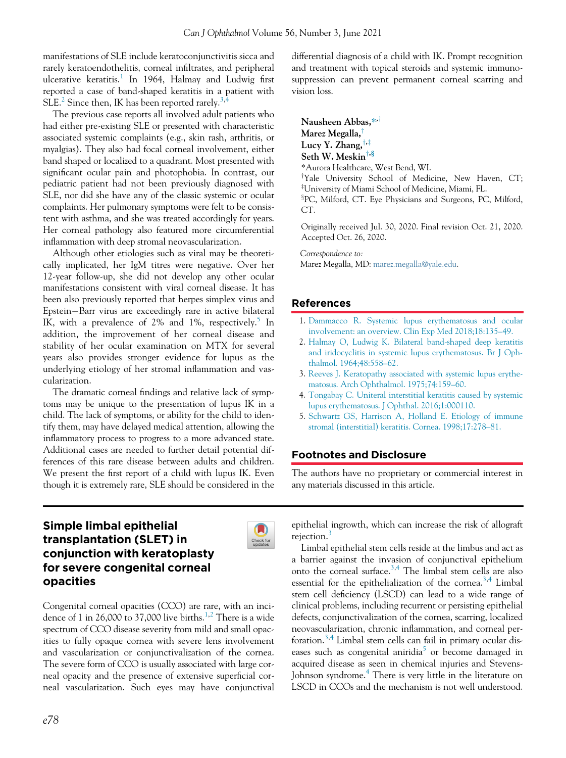manifestations of SLE include keratoconjunctivitis sicca and rarely keratoendothelitis, corneal infiltrates, and peripheral ulcerative keratitis.<sup>[1](#page-0-0)</sup> In 1964, Halmay and Ludwig first reported a case of band-shaped keratitis in a patient with SLE.<sup>[2](#page-0-1)</sup> Since then, IK has been reported rarely.<sup>[3](#page-0-2)[,4](#page-0-3)</sup>

The previous case reports all involved adult patients who had either pre-existing SLE or presented with characteristic associated systemic complaints (e.g., skin rash, arthritis, or myalgias). They also had focal corneal involvement, either band shaped or localized to a quadrant. Most presented with significant ocular pain and photophobia. In contrast, our pediatric patient had not been previously diagnosed with SLE, nor did she have any of the classic systemic or ocular complaints. Her pulmonary symptoms were felt to be consistent with asthma, and she was treated accordingly for years. Her corneal pathology also featured more circumferential inflammation with deep stromal neovascularization.

<span id="page-0-0"></span>Although other etiologies such as viral may be theoretically implicated, her IgM titres were negative. Over her 12-year follow-up, she did not develop any other ocular manifestations consistent with viral corneal disease. It has been also previously reported that herpes simplex virus and Epstein-Barr virus are exceedingly rare in active bilateral IK, with a prevalence of 2% and 1%, respectively.<sup>[5](#page-0-4)</sup> In addition, the improvement of her corneal disease and stability of her ocular examination on MTX for several years also provides stronger evidence for lupus as the underlying etiology of her stromal inflammation and vascularization.

<span id="page-0-4"></span><span id="page-0-3"></span><span id="page-0-2"></span><span id="page-0-1"></span>The dramatic corneal findings and relative lack of symptoms may be unique to the presentation of lupus IK in a child. The lack of symptoms, or ability for the child to identify them, may have delayed medical attention, allowing the inflammatory process to progress to a more advanced state. Additional cases are needed to further detail potential differences of this rare disease between adults and children. We present the first report of a child with lupus IK. Even though it is extremely rare, SLE should be considered in the

Simple limbal epithelial transplantation (SLET) in conjunction with keratoplasty for severe congenital corneal opacities

Congenital corneal opacities (CCO) are rare, with an inci-dence of [1](#page-3-0) in 26,000 to 37,000 live births.<sup>1[,2](#page-3-1)</sup> There is a wide spectrum of CCO disease severity from mild and small opacities to fully opaque cornea with severe lens involvement and vascularization or conjunctivalization of the cornea. The severe form of CCO is usually associated with large corneal opacity and the presence of extensive superficial corneal vascularization. Such eyes may have conjunctival differential diagnosis of a child with IK. Prompt recognition and treatment with topical steroids and systemic immunosuppression can prevent permanent corneal scarring and vision loss.

Nausheen Abbas,\*<sup>+</sup> Marez Megalla, $^{\dagger}$ Lucy Y. Zhang,  $\dagger$ , $\dagger$ Seth W. Meskin<sup>†,§</sup> \*Aurora Healthcare, West Bend, WI. <sup>†</sup>Yale University School of Medicine, New Haven, CT; z University of Miami School of Medicine, Miami, FL. <sup>3</sup>PC, Milford, CT. Eye Physicians and Surgeons, PC, Milford, CT.

Originally received Jul. 30, 2020. Final revision Oct. 21, 2020. Accepted Oct. 26, 2020.

Correspondence to:

Marez Megalla, MD: [marez.megalla@yale.edu](mailto:marez.megalla@yale.edu).

# References

Check for<br>updates

- 1. [Dammacco R. Systemic lupus erythematosus and ocular](http://refhub.elsevier.com/S0008-4182(20)30843-7/sbref0001_2019) [involvement: an overview. Clin Exp Med 2018;18:135](http://refhub.elsevier.com/S0008-4182(20)30843-7/sbref0001_2019)–49.
- 2. [Halmay O, Ludwig K. Bilateral band-shaped deep keratitis](http://refhub.elsevier.com/S0008-4182(20)30843-7/sbref0002_2019) [and iridocyclitis in systemic lupus erythematosus. Br J Oph](http://refhub.elsevier.com/S0008-4182(20)30843-7/sbref0002_2019)[thalmol. 1964;48:558](http://refhub.elsevier.com/S0008-4182(20)30843-7/sbref0002_2019)–62.
- 3. [Reeves J. Keratopathy associated with systemic lupus erythe](http://refhub.elsevier.com/S0008-4182(20)30843-7/sbref0003_2019)[matosus. Arch Ophthalmol. 1975;74:159](http://refhub.elsevier.com/S0008-4182(20)30843-7/sbref0003_2019)–60.
- 4. [Tongabay C. Uniteral interstitial keratitis caused by systemic](http://refhub.elsevier.com/S0008-4182(20)30843-7/sbref0004_2019) [lupus erythematosus. J Ophthal. 2016;1:000110.](http://refhub.elsevier.com/S0008-4182(20)30843-7/sbref0004_2019)
- 5. [Schwartz GS, Harrison A, Holland E. Etiology of immune](http://refhub.elsevier.com/S0008-4182(20)30843-7/sbref0005_2019) [stromal \(interstitial\) keratitis. Cornea. 1998;17:278](http://refhub.elsevier.com/S0008-4182(20)30843-7/sbref0005_2019)–81.

# Footnotes and Disclosure

The authors have no proprietary or commercial interest in any materials discussed in this article.

epithelial ingrowth, which can increase the risk of allograft rejection.<sup>[3](#page-3-2)</sup>

Limbal epithelial stem cells reside at the limbus and act as a barrier against the invasion of conjunctival epithelium onto the corneal surface.[3,](#page-3-2)[4](#page-3-3) The limbal stem cells are also essential for the epithelialization of the cornea.<sup>[3,](#page-3-2)[4](#page-3-3)</sup> Limbal stem cell deficiency (LSCD) can lead to a wide range of clinical problems, including recurrent or persisting epithelial defects, conjunctivalization of the cornea, scarring, localized neovascularization, chronic inflammation, and corneal per-foration.<sup>[3](#page-3-2)[,4](#page-3-3)</sup> Limbal stem cells can fail in primary ocular dis-eases such as congenital aniridia<sup>[5](#page-3-4)</sup> or become damaged in acquired disease as seen in chemical injuries and Stevens-Johnson syndrome.[4](#page-3-3) There is very little in the literature on LSCD in CCOs and the mechanism is not well understood.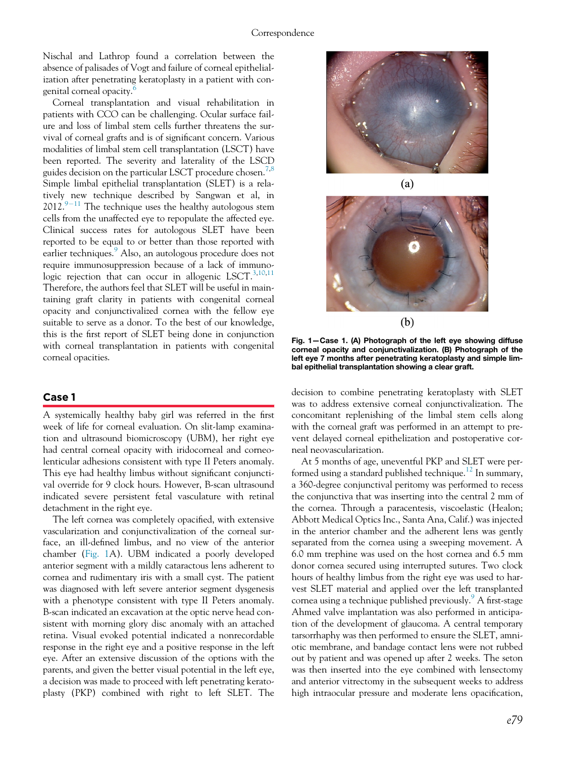<span id="page-1-0"></span>Nischal and Lathrop found a correlation between the absence of palisades of Vogt and failure of corneal epithelialization after penetrating keratoplasty in a patient with congenital corneal opacity.[6](#page-3-5)

Corneal transplantation and visual rehabilitation in patients with CCO can be challenging. Ocular surface failure and loss of limbal stem cells further threatens the survival of corneal grafts and is of significant concern. Various modalities of limbal stem cell transplantation (LSCT) have been reported. The severity and laterality of the LSCD guides decision on the particular LSCT procedure chosen.<sup>[7,](#page-3-6)[8](#page-3-7)</sup> Simple limbal epithelial transplantation (SLET) is a relatively new technique described by Sangwan et al, in  $2012.<sup>9-11</sup>$  $2012.<sup>9-11</sup>$  $2012.<sup>9-11</sup>$  $2012.<sup>9-11</sup>$  $2012.<sup>9-11</sup>$  The technique uses the healthy autologous stem cells from the unaffected eye to repopulate the affected eye. Clinical success rates for autologous SLET have been reported to be equal to or better than those reported with earlier techniques.<sup>[9](#page-3-8)</sup> Also, an autologous procedure does not require immunosuppression because of a lack of immunologic rejection that can occur in allogenic LSCT. $3,10,11$  $3,10,11$  $3,10,11$ Therefore, the authors feel that SLET will be useful in maintaining graft clarity in patients with congenital corneal opacity and conjunctivalized cornea with the fellow eye suitable to serve as a donor. To the best of our knowledge, this is the first report of SLET being done in conjunction with corneal transplantation in patients with congenital corneal opacities.

## Case 1

A systemically healthy baby girl was referred in the first week of life for corneal evaluation. On slit-lamp examination and ultrasound biomicroscopy (UBM), her right eye had central corneal opacity with iridocorneal and corneolenticular adhesions consistent with type II Peters anomaly. This eye had healthy limbus without significant conjunctival override for 9 clock hours. However, B-scan ultrasound indicated severe persistent fetal vasculature with retinal detachment in the right eye.

The left cornea was completely opacified, with extensive vascularization and conjunctivalization of the corneal surface, an ill-defined limbus, and no view of the anterior chamber [\(Fig. 1A](#page-1-0)). UBM indicated a poorly developed anterior segment with a mildly cataractous lens adherent to cornea and rudimentary iris with a small cyst. The patient was diagnosed with left severe anterior segment dysgenesis with a phenotype consistent with type II Peters anomaly. B-scan indicated an excavation at the optic nerve head consistent with morning glory disc anomaly with an attached retina. Visual evoked potential indicated a nonrecordable response in the right eye and a positive response in the left eye. After an extensive discussion of the options with the parents, and given the better visual potential in the left eye, a decision was made to proceed with left penetrating keratoplasty (PKP) combined with right to left SLET. The



 $(b)$ 

Fig. 1—Case 1. (A) Photograph of the left eye showing diffuse corneal opacity and conjunctivalization. (B) Photograph of the left eye 7 months after penetrating keratoplasty and simple limbal epithelial transplantation showing a clear graft.

decision to combine penetrating keratoplasty with SLET was to address extensive corneal conjunctivalization. The concomitant replenishing of the limbal stem cells along with the corneal graft was performed in an attempt to prevent delayed corneal epithelization and postoperative corneal neovascularization.

At 5 months of age, uneventful PKP and SLET were performed using a standard published technique.<sup>12</sup> In summary, a 360-degree conjunctival peritomy was performed to recess the conjunctiva that was inserting into the central 2 mm of the cornea. Through a paracentesis, viscoelastic (Healon; Abbott Medical Optics Inc., Santa Ana, Calif.) was injected in the anterior chamber and the adherent lens was gently separated from the cornea using a sweeping movement. A 6.0 mm trephine was used on the host cornea and 6.5 mm donor cornea secured using interrupted sutures. Two clock hours of healthy limbus from the right eye was used to harvest SLET material and applied over the left transplanted cornea using a technique published previously.<sup>[9](#page-3-8)</sup> A first-stage Ahmed valve implantation was also performed in anticipation of the development of glaucoma. A central temporary tarsorrhaphy was then performed to ensure the SLET, amniotic membrane, and bandage contact lens were not rubbed out by patient and was opened up after 2 weeks. The seton was then inserted into the eye combined with lensectomy and anterior vitrectomy in the subsequent weeks to address high intraocular pressure and moderate lens opacification,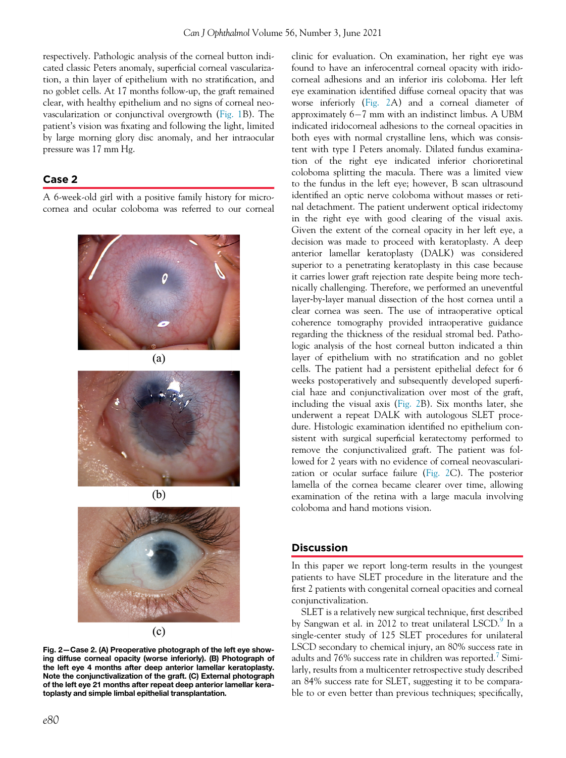respectively. Pathologic analysis of the corneal button indicated classic Peters anomaly, superficial corneal vascularization, a thin layer of epithelium with no stratification, and no goblet cells. At 17 months follow-up, the graft remained clear, with healthy epithelium and no signs of corneal neovascularization or conjunctival overgrowth [\(Fig. 1B](#page-1-0)). The patient's vision was fixating and following the light, limited by large morning glory disc anomaly, and her intraocular pressure was 17 mm Hg.

# Case 2

<span id="page-2-0"></span>A 6-week-old girl with a positive family history for microcornea and ocular coloboma was referred to our corneal





 $(b)$ 



 $(c)$ 

Fig. 2—Case 2. (A) Preoperative photograph of the left eye showing diffuse corneal opacity (worse inferiorly). (B) Photograph of the left eye 4 months after deep anterior lamellar keratoplasty. Note the conjunctivalization of the graft. (C) External photograph of the left eye 21 months after repeat deep anterior lamellar keratoplasty and simple limbal epithelial transplantation.

clinic for evaluation. On examination, her right eye was found to have an inferocentral corneal opacity with iridocorneal adhesions and an inferior iris coloboma. Her left eye examination identified diffuse corneal opacity that was worse inferiorly ([Fig. 2A](#page-2-0)) and a corneal diameter of approximately  $6-7$  mm with an indistinct limbus. A UBM indicated iridocorneal adhesions to the corneal opacities in both eyes with normal crystalline lens, which was consistent with type I Peters anomaly. Dilated fundus examination of the right eye indicated inferior chorioretinal coloboma splitting the macula. There was a limited view to the fundus in the left eye; however, B scan ultrasound identified an optic nerve coloboma without masses or retinal detachment. The patient underwent optical iridectomy in the right eye with good clearing of the visual axis. Given the extent of the corneal opacity in her left eye, a decision was made to proceed with keratoplasty. A deep anterior lamellar keratoplasty (DALK) was considered superior to a penetrating keratoplasty in this case because it carries lower graft rejection rate despite being more technically challenging. Therefore, we performed an uneventful layer‑by‑layer manual dissection of the host cornea until a clear cornea was seen. The use of intraoperative optical coherence tomography provided intraoperative guidance regarding the thickness of the residual stromal bed. Pathologic analysis of the host corneal button indicated a thin layer of epithelium with no stratification and no goblet cells. The patient had a persistent epithelial defect for 6 weeks postoperatively and subsequently developed superficial haze and conjunctivalization over most of the graft, including the visual axis [\(Fig. 2B](#page-2-0)). Six months later, she underwent a repeat DALK with autologous SLET procedure. Histologic examination identified no epithelium consistent with surgical superficial keratectomy performed to remove the conjunctivalized graft. The patient was followed for 2 years with no evidence of corneal neovascularization or ocular surface failure ([Fig. 2](#page-2-0)C). The posterior lamella of the cornea became clearer over time, allowing examination of the retina with a large macula involving coloboma and hand motions vision.

#### **Discussion**

In this paper we report long-term results in the youngest patients to have SLET procedure in the literature and the first 2 patients with congenital corneal opacities and corneal conjunctivalization.

SLET is a relatively new surgical technique, first described by Sangwan et al. in 2012 to treat unilateral LSCD.<sup>[9](#page-3-8)</sup> In a single-center study of 125 SLET procedures for unilateral LSCD secondary to chemical injury, an 80% success rate in adults and [7](#page-3-6)6% success rate in children was reported.<sup>7</sup> Similarly, results from a multicenter retrospective study described an 84% success rate for SLET, suggesting it to be comparable to or even better than previous techniques; specifically,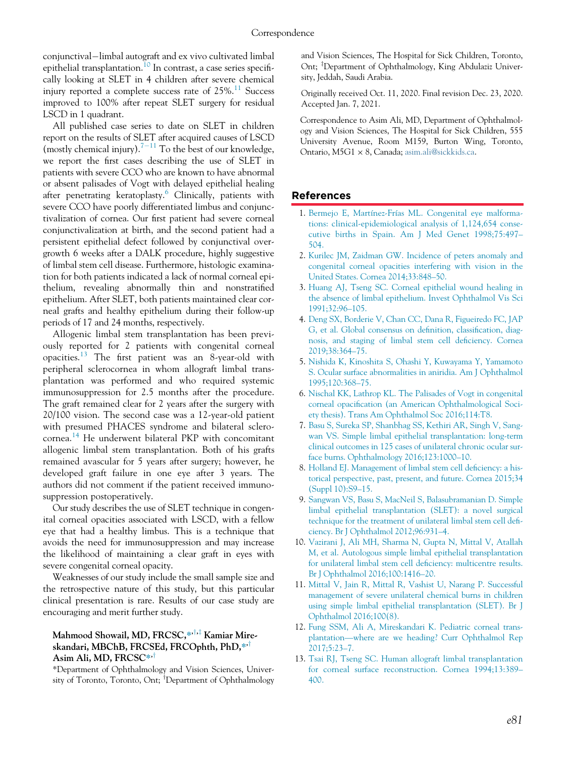conjunctival-limbal autograft and ex vivo cultivated limbal epithelial transplantation.<sup>[10](#page-3-9)</sup> In contrast, a case series specifically looking at SLET in 4 children after severe chemical injury reported a complete success rate of  $25\%$ .<sup>[11](#page-3-10)</sup> Success improved to 100% after repeat SLET surgery for residual LSCD in 1 quadrant.

<span id="page-3-0"></span>All published case series to date on SLET in children report on the results of SLET after acquired causes of LSCD (mostly chemical injury).<sup>[7](#page-3-6)-[11](#page-3-6)</sup> To the best of our knowledge, we report the first cases describing the use of SLET in patients with severe CCO who are known to have abnormal or absent palisades of Vogt with delayed epithelial healing after penetrating keratoplasty. $\frac{6}{1}$  $\frac{6}{1}$  $\frac{6}{1}$  Clinically, patients with severe CCO have poorly differentiated limbus and conjunctivalization of cornea. Our first patient had severe corneal conjunctivalization at birth, and the second patient had a persistent epithelial defect followed by conjunctival overgrowth 6 weeks after a DALK procedure, highly suggestive of limbal stem cell disease. Furthermore, histologic examination for both patients indicated a lack of normal corneal epithelium, revealing abnormally thin and nonstratified epithelium. After SLET, both patients maintained clear corneal grafts and healthy epithelium during their follow-up periods of 17 and 24 months, respectively.

<span id="page-3-5"></span><span id="page-3-4"></span><span id="page-3-3"></span><span id="page-3-2"></span><span id="page-3-1"></span>Allogenic limbal stem transplantation has been previously reported for 2 patients with congenital corneal opacities. $^{13}$  $^{13}$  $^{13}$  The first patient was an 8-year-old with peripheral sclerocornea in whom allograft limbal transplantation was performed and who required systemic immunosuppression for 2.5 months after the procedure. The graft remained clear for 2 years after the surgery with 20/100 vision. The second case was a 12-year-old patient with presumed PHACES syndrome and bilateral sclerocornea.[14](#page-4-0) He underwent bilateral PKP with concomitant allogenic limbal stem transplantation. Both of his grafts remained avascular for 5 years after surgery; however, he developed graft failure in one eye after 3 years. The authors did not comment if the patient received immunosuppression postoperatively.

<span id="page-3-9"></span><span id="page-3-8"></span><span id="page-3-7"></span><span id="page-3-6"></span>Our study describes the use of SLET technique in congenital corneal opacities associated with LSCD, with a fellow eye that had a healthy limbus. This is a technique that avoids the need for immunosuppression and may increase the likelihood of maintaining a clear graft in eyes with severe congenital corneal opacity.

<span id="page-3-10"></span>Weaknesses of our study include the small sample size and the retrospective nature of this study, but this particular clinical presentation is rare. Results of our case study are encouraging and merit further study.

# <span id="page-3-11"></span>Mahmood Showail, MD, FRCSC,\*\*,\*\* Kamiar Mireskandari, MBChB, FRCSEd, FRCOphth, PhD, $*$ <sup>†</sup> Asim Ali, MD, FRCSC $**$ <sup>†</sup>

<span id="page-3-12"></span>\*Department of Ophthalmology and Vision Sciences, University of Toronto, Toronto, Ont; <sup>†</sup>Department of Ophthalmology

and Vision Sciences, The Hospital for Sick Children, Toronto, Ont; <sup>‡</sup>Department of Ophthalmology, King Abdulaziz University, Jeddah, Saudi Arabia.

Originally received Oct. 11, 2020. Final revision Dec. 23, 2020. Accepted Jan. 7, 2021.

Correspondence to Asim Ali, MD, Department of Ophthalmology and Vision Sciences, The Hospital for Sick Children, 555 University Avenue, Room M159, Burton Wing, Toronto, Ontario, M5G1 × 8, Canada; [asim.ali@sickkids.ca.](mailto:asim.ali@sickkids.ca)

# References

- 1. [Bermejo E, Martínez-Frías ML. Congenital eye malforma](http://refhub.elsevier.com/S0008-4182(20)30843-7/sbref0001_2062)[tions: clinical-epidemiological analysis of 1,124,654 conse](http://refhub.elsevier.com/S0008-4182(20)30843-7/sbref0001_2062)[cutive births in Spain. Am J Med Genet 1998;75:497](http://refhub.elsevier.com/S0008-4182(20)30843-7/sbref0001_2062)– [504.](http://refhub.elsevier.com/S0008-4182(20)30843-7/sbref0001_2062)
- 2. [Kurilec JM, Zaidman GW. Incidence of peters anomaly and](http://refhub.elsevier.com/S0008-4182(20)30843-7/sbref0002_2062) [congenital corneal opacities interfering with vision in the](http://refhub.elsevier.com/S0008-4182(20)30843-7/sbref0002_2062) [United States. Cornea 2014;33:848](http://refhub.elsevier.com/S0008-4182(20)30843-7/sbref0002_2062)–50.
- 3. [Huang AJ, Tseng SC. Corneal epithelial wound healing in](http://refhub.elsevier.com/S0008-4182(20)30843-7/sbref0003_2062) [the absence of limbal epithelium. Invest Ophthalmol Vis Sci](http://refhub.elsevier.com/S0008-4182(20)30843-7/sbref0003_2062) [1991;32:96](http://refhub.elsevier.com/S0008-4182(20)30843-7/sbref0003_2062)–105.
- 4. [Deng SX, Borderie V, Chan CC, Dana R, Figueiredo FC, JAP](http://refhub.elsevier.com/S0008-4182(20)30843-7/sbref0004_2062) [G, et al. Global consensus on de](http://refhub.elsevier.com/S0008-4182(20)30843-7/sbref0004_2062)finition, classification, diag[nosis, and staging of limbal stem cell de](http://refhub.elsevier.com/S0008-4182(20)30843-7/sbref0004_2062)ficiency. Cornea [2019;38:364](http://refhub.elsevier.com/S0008-4182(20)30843-7/sbref0004_2062)–75.
- 5. [Nishida K, Kinoshita S, Ohashi Y, Kuwayama Y, Yamamoto](http://refhub.elsevier.com/S0008-4182(20)30843-7/sbref0005_2062) [S. Ocular surface abnormalities in aniridia. Am J Ophthalmol](http://refhub.elsevier.com/S0008-4182(20)30843-7/sbref0005_2062) [1995;120:368](http://refhub.elsevier.com/S0008-4182(20)30843-7/sbref0005_2062)–75.
- 6. [Nischal KK, Lathrop KL. The Palisades of Vogt in congenital](http://refhub.elsevier.com/S0008-4182(20)30843-7/sbref0006_2062) corneal opacifi[cation \(an American Ophthalmological Soci](http://refhub.elsevier.com/S0008-4182(20)30843-7/sbref0006_2062)[ety thesis\). Trans Am Ophthalmol Soc 2016;114:T8.](http://refhub.elsevier.com/S0008-4182(20)30843-7/sbref0006_2062)
- 7. [Basu S, Sureka SP, Shanbhag SS, Kethiri AR, Singh V, Sang](http://refhub.elsevier.com/S0008-4182(20)30843-7/sbref0007_2062)[wan VS. Simple limbal epithelial transplantation: long-term](http://refhub.elsevier.com/S0008-4182(20)30843-7/sbref0007_2062) [clinical outcomes in 125 cases of unilateral chronic ocular sur](http://refhub.elsevier.com/S0008-4182(20)30843-7/sbref0007_2062)[face burns. Ophthalmology 2016;123:1000](http://refhub.elsevier.com/S0008-4182(20)30843-7/sbref0007_2062)–10.
- 8. [Holland EJ. Management of limbal stem cell de](http://refhub.elsevier.com/S0008-4182(20)30843-7/sbref0008_2062)ficiency: a his[torical perspective, past, present, and future. Cornea 2015;34](http://refhub.elsevier.com/S0008-4182(20)30843-7/sbref0008_2062) [\(Suppl 10\):S9](http://refhub.elsevier.com/S0008-4182(20)30843-7/sbref0008_2062)–15.
- 9. [Sangwan VS, Basu S, MacNeil S, Balasubramanian D. Simple](http://refhub.elsevier.com/S0008-4182(20)30843-7/sbref0009_2062) [limbal epithelial transplantation \(SLET\): a novel surgical](http://refhub.elsevier.com/S0008-4182(20)30843-7/sbref0009_2062) [technique for the treatment of unilateral limbal stem cell de](http://refhub.elsevier.com/S0008-4182(20)30843-7/sbref0009_2062)fi[ciency. Br J Ophthalmol 2012;96:931](http://refhub.elsevier.com/S0008-4182(20)30843-7/sbref0009_2062)–4.
- 10. [Vazirani J, Ali MH, Sharma N, Gupta N, Mittal V, Atallah](http://refhub.elsevier.com/S0008-4182(20)30843-7/sbref0010_2062) [M, et al. Autologous simple limbal epithelial transplantation](http://refhub.elsevier.com/S0008-4182(20)30843-7/sbref0010_2062) [for unilateral limbal stem cell de](http://refhub.elsevier.com/S0008-4182(20)30843-7/sbref0010_2062)ficiency: multicentre results. [Br J Ophthalmol 2016;100:1416](http://refhub.elsevier.com/S0008-4182(20)30843-7/sbref0010_2062)–20.
- 11. [Mittal V, Jain R, Mittal R, Vashist U, Narang P. Successful](http://refhub.elsevier.com/S0008-4182(20)30843-7/sbref0011_2062) [management of severe unilateral chemical burns in children](http://refhub.elsevier.com/S0008-4182(20)30843-7/sbref0011_2062) [using simple limbal epithelial transplantation \(SLET\). Br J](http://refhub.elsevier.com/S0008-4182(20)30843-7/sbref0011_2062) [Ophthalmol 2016;100\(8\).](http://refhub.elsevier.com/S0008-4182(20)30843-7/sbref0011_2062)
- 12. [Fung SSM, Ali A, Mireskandari K. Pediatric corneal trans](http://refhub.elsevier.com/S0008-4182(20)30843-7/sbref0012_2062)plantation—[where are we heading? Curr Ophthalmol Rep](http://refhub.elsevier.com/S0008-4182(20)30843-7/sbref0012_2062) [2017;5:23](http://refhub.elsevier.com/S0008-4182(20)30843-7/sbref0012_2062)–7.
- 13. [Tsai RJ, Tseng SC. Human allograft limbal transplantation](http://refhub.elsevier.com/S0008-4182(20)30843-7/sbref0013_2062) [for corneal surface reconstruction. Cornea 1994;13:389](http://refhub.elsevier.com/S0008-4182(20)30843-7/sbref0013_2062)– [400.](http://refhub.elsevier.com/S0008-4182(20)30843-7/sbref0013_2062)